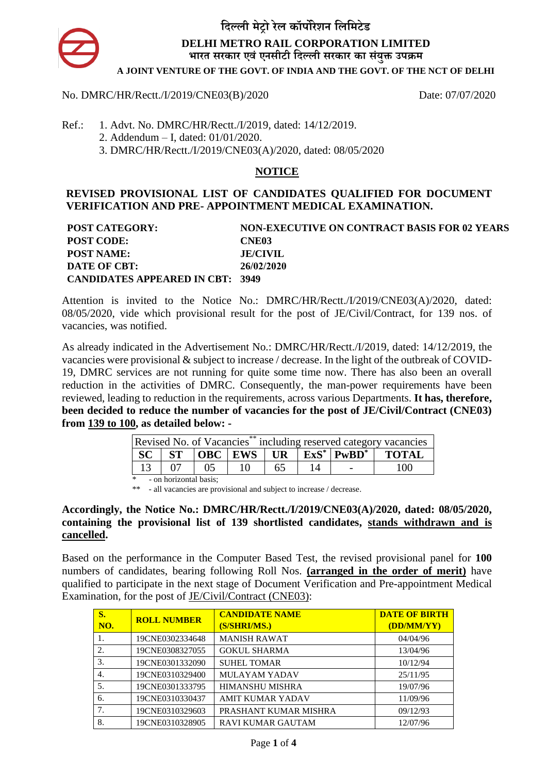

## No. DMRC/HR/Rectt./I/2019/CNE03(B)/2020 Date: 07/07/2020

- Ref.: 1. Advt. No. DMRC/HR/Rectt./I/2019, dated: 14/12/2019.
	- 2. Addendum I, dated: 01/01/2020.
	- 3. DMRC/HR/Rectt./I/2019/CNE03(A)/2020, dated: 08/05/2020

## **NOTICE**

## **REVISED PROVISIONAL LIST OF CANDIDATES QUALIFIED FOR DOCUMENT VERIFICATION AND PRE- APPOINTMENT MEDICAL EXAMINATION.**

| <b>POST CATEGORY:</b>                   | <b>NON-EXECUTIVE ON CONTRACT BASIS FOR 02 YEARS</b> |
|-----------------------------------------|-----------------------------------------------------|
| <b>POST CODE:</b>                       | CNE <sub>03</sub>                                   |
| <b>POST NAME:</b>                       | <b>JE/CIVIL</b>                                     |
| DATE OF CBT:                            | 26/02/2020                                          |
| <b>CANDIDATES APPEARED IN CBT: 3949</b> |                                                     |

Attention is invited to the Notice No.: DMRC/HR/Rectt./I/2019/CNE03(A)/2020, dated: 08/05/2020, vide which provisional result for the post of JE/Civil/Contract, for 139 nos. of vacancies, was notified.

As already indicated in the Advertisement No.: DMRC/HR/Rectt./I/2019, dated: 14/12/2019, the vacancies were provisional & subject to increase / decrease. In the light of the outbreak of COVID-19, DMRC services are not running for quite some time now. There has also been an overall reduction in the activities of DMRC. Consequently, the man-power requirements have been reviewed, leading to reduction in the requirements, across various Departments. **It has, therefore, been decided to reduce the number of vacancies for the post of JE/Civil/Contract (CNE03) from 139 to 100, as detailed below: -**

| Revised No. of Vacancies <sup>**</sup> including reserved category vacancies |                        |    |  |  |                          |                                                                                                                           |
|------------------------------------------------------------------------------|------------------------|----|--|--|--------------------------|---------------------------------------------------------------------------------------------------------------------------|
|                                                                              |                        |    |  |  |                          | $\vert$ SC $\vert$ ST $\vert$ OBC $\vert$ EWS $\vert$ UR $\vert$ ExS <sup>*</sup> $\vert$ PwBD <sup>*</sup> $\vert$ TOTAL |
|                                                                              |                        | 05 |  |  | $\overline{\phantom{a}}$ | 100                                                                                                                       |
| $\ast$                                                                       | - on horizontal basis: |    |  |  |                          |                                                                                                                           |

\*\* - all vacancies are provisional and subject to increase / decrease.

### **Accordingly, the Notice No.: DMRC/HR/Rectt./I/2019/CNE03(A)/2020, dated: 08/05/2020, containing the provisional list of 139 shortlisted candidates, stands withdrawn and is cancelled.**

Based on the performance in the Computer Based Test, the revised provisional panel for **100** numbers of candidates, bearing following Roll Nos. **(arranged in the order of merit)** have qualified to participate in the next stage of Document Verification and Pre-appointment Medical Examination, for the post of JE/Civil/Contract (CNE03):

| S.<br>NO. | <b>ROLL NUMBER</b> | <b>CANDIDATE NAME</b><br>(S/SHRI/MS.) | <b>DATE OF BIRTH</b><br>(DD/MM/YY) |
|-----------|--------------------|---------------------------------------|------------------------------------|
| 1.        | 19CNE0302334648    | <b>MANISH RAWAT</b>                   | 04/04/96                           |
| 2.        | 19CNE0308327055    | <b>GOKUL SHARMA</b>                   | 13/04/96                           |
| 3.        | 19CNE0301332090    | <b>SUHEL TOMAR</b>                    | 10/12/94                           |
| 4.        | 19CNE0310329400    | <b>MULAYAM YADAV</b>                  | 25/11/95                           |
| 5.        | 19CNE0301333795    | <b>HIMANSHU MISHRA</b>                | 19/07/96                           |
| 6.        | 19CNE0310330437    | <b>AMIT KUMAR YADAV</b>               | 11/09/96                           |
| 7.        | 19CNE0310329603    | PRASHANT KUMAR MISHRA                 | 09/12/93                           |
| 8.        | 19CNE0310328905    | RAVI KUMAR GAUTAM                     | 12/07/96                           |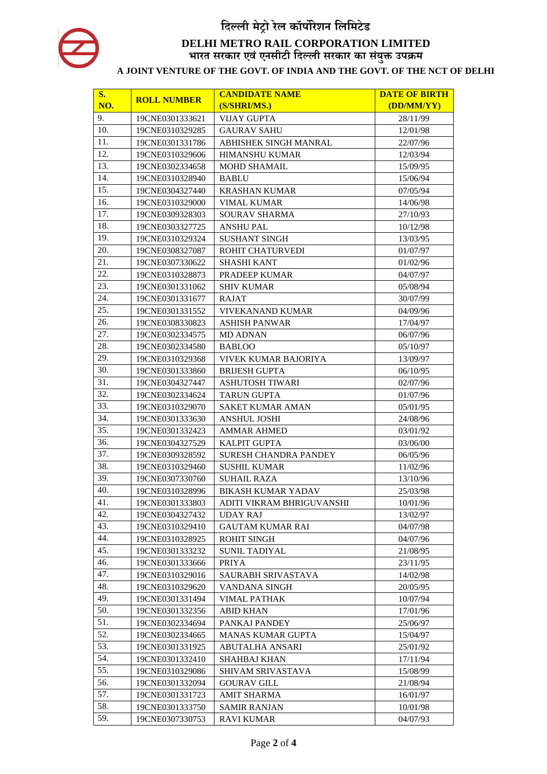| S.  | <b>ROLL NUMBER</b> | <b>CANDIDATE NAME</b>             | <b>DATE OF BIRTH</b> |
|-----|--------------------|-----------------------------------|----------------------|
| NO. |                    | (S/SHRI/MS.)                      | (DD/MM/YY)           |
| 9.  | 19CNE0301333621    | <b>VIJAY GUPTA</b>                | 28/11/99             |
| 10. | 19CNE0310329285    | <b>GAURAV SAHU</b>                | 12/01/98             |
| 11. | 19CNE0301331786    | ABHISHEK SINGH MANRAL             | 22/07/96             |
| 12. | 19CNE0310329606    | <b>HIMANSHU KUMAR</b>             | 12/03/94             |
| 13. | 19CNE0302334658    | <b>MOHD SHAMAIL</b>               | 15/09/95             |
| 14. | 19CNE0310328940    | <b>BABLU</b>                      | 15/06/94             |
| 15. | 19CNE0304327440    | <b>KRASHAN KUMAR</b>              | 07/05/94             |
| 16. | 19CNE0310329000    | <b>VIMAL KUMAR</b>                | 14/06/98             |
| 17. | 19CNE0309328303    | <b>SOURAV SHARMA</b>              | 27/10/93             |
| 18. | 19CNE0303327725    | <b>ANSHU PAL</b>                  | 10/12/98             |
| 19. | 19CNE0310329324    | <b>SUSHANT SINGH</b>              | 13/03/95             |
| 20. | 19CNE0308327087    | ROHIT CHATURVEDI                  | 01/07/97             |
| 21. | 19CNE0307330622    | <b>SHASHI KANT</b>                | 01/02/96             |
| 22. | 19CNE0310328873    | PRADEEP KUMAR                     | 04/07/97             |
| 23. | 19CNE0301331062    | <b>SHIV KUMAR</b>                 | 05/08/94             |
| 24. | 19CNE0301331677    | <b>RAJAT</b>                      | 30/07/99             |
| 25. | 19CNE0301331552    | <b>VIVEKANAND KUMAR</b>           | 04/09/96             |
| 26. | 19CNE0308330823    | <b>ASHISH PANWAR</b>              | 17/04/97             |
| 27. | 19CNE0302334575    | <b>MD ADNAN</b>                   | 06/07/96             |
| 28. | 19CNE0302334580    | <b>BABLOO</b>                     | 05/10/97             |
| 29. | 19CNE0310329368    | VIVEK KUMAR BAJORIYA              | 13/09/97             |
| 30. | 19CNE0301333860    | <b>BRIJESH GUPTA</b>              | 06/10/95             |
| 31. | 19CNE0304327447    | <b>ASHUTOSH TIWARI</b>            | 02/07/96             |
| 32. | 19CNE0302334624    | <b>TARUN GUPTA</b>                | 01/07/96             |
| 33. | 19CNE0310329070    | <b>SAKET KUMAR AMAN</b>           | 05/01/95             |
| 34. | 19CNE0301333630    | <b>ANSHUL JOSHI</b>               | 24/08/96             |
| 35. | 19CNE0301332423    | <b>AMMAR AHMED</b>                | 03/01/92             |
| 36. | 19CNE0304327529    | <b>KALPIT GUPTA</b>               | 03/06/00             |
| 37. | 19CNE0309328592    | <b>SURESH CHANDRA PANDEY</b>      | 06/05/96             |
| 38. | 19CNE0310329460    | <b>SUSHIL KUMAR</b>               | 11/02/96             |
| 39. | 19CNE0307330760    | <b>SUHAIL RAZA</b>                | 13/10/96             |
| 40. | 19CNE0310328996    | <b>BIKASH KUMAR YADAV</b>         | 25/03/98             |
| 41. | 19CNE0301333803    | ADITI VIKRAM BHRIGUVANSHI         | 10/01/96             |
| 42. | 19CNE0304327432    | UDAY RAJ                          | 13/02/97             |
| 43. | 19CNE0310329410    | <b>GAUTAM KUMAR RAI</b>           | 04/07/98             |
| 44. | 19CNE0310328925    | <b>ROHIT SINGH</b>                | 04/07/96             |
| 45. | 19CNE0301333232    | <b>SUNIL TADIYAL</b>              | 21/08/95             |
| 46. | 19CNE0301333666    | <b>PRIYA</b>                      | 23/11/95             |
| 47. | 19CNE0310329016    | SAURABH SRIVASTAVA                | 14/02/98             |
| 48. | 19CNE0310329620    | VANDANA SINGH                     | 20/05/95             |
| 49. | 19CNE0301331494    | <b>VIMAL PATHAK</b>               | 10/07/94             |
| 50. | 19CNE0301332356    | <b>ABID KHAN</b>                  | 17/01/96             |
| 51. | 19CNE0302334694    | PANKAJ PANDEY                     | 25/06/97             |
| 52. | 19CNE0302334665    | <b>MANAS KUMAR GUPTA</b>          | 15/04/97             |
| 53. | 19CNE0301331925    | ABUTALHA ANSARI                   | 25/01/92             |
| 54. | 19CNE0301332410    |                                   |                      |
| 55. | 19CNE0310329086    | SHAHBAJ KHAN<br>SHIVAM SRIVASTAVA | 17/11/94             |
| 56. | 19CNE0301332094    | <b>GOURAV GILL</b>                | 15/08/99<br>21/08/94 |
| 57. |                    |                                   |                      |
| 58. | 19CNE0301331723    | <b>AMIT SHARMA</b>                | 16/01/97             |
| 59. | 19CNE0301333750    | <b>SAMIR RANJAN</b>               | 10/01/98             |
|     | 19CNE0307330753    | <b>RAVI KUMAR</b>                 | 04/07/93             |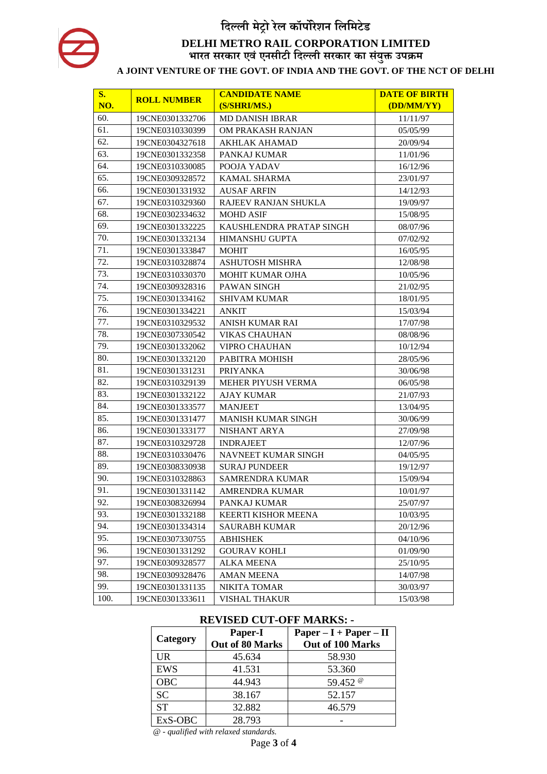| <b>S.</b> |                    | <b>CANDIDATE NAME</b>     | <b>DATE OF BIRTH</b> |
|-----------|--------------------|---------------------------|----------------------|
| NO.       | <b>ROLL NUMBER</b> | (S/SHRI/MS.)              | (DD/MM/YY)           |
| 60.       | 19CNE0301332706    | <b>MD DANISH IBRAR</b>    | 11/11/97             |
| 61.       | 19CNE0310330399    | OM PRAKASH RANJAN         | 05/05/99             |
| 62.       | 19CNE0304327618    | <b>AKHLAK AHAMAD</b>      | 20/09/94             |
| 63.       | 19CNE0301332358    | PANKAJ KUMAR              | 11/01/96             |
| 64.       | 19CNE0310330085    | POOJA YADAV               | 16/12/96             |
| 65.       | 19CNE0309328572    | <b>KAMAL SHARMA</b>       | 23/01/97             |
| 66.       | 19CNE0301331932    | <b>AUSAF ARFIN</b>        | 14/12/93             |
| 67.       | 19CNE0310329360    | RAJEEV RANJAN SHUKLA      | 19/09/97             |
| 68.       | 19CNE0302334632    | <b>MOHD ASIF</b>          | 15/08/95             |
| 69.       | 19CNE0301332225    | KAUSHLENDRA PRATAP SINGH  | 08/07/96             |
| 70.       | 19CNE0301332134    | <b>HIMANSHU GUPTA</b>     | 07/02/92             |
| 71.       | 19CNE0301333847    | <b>MOHIT</b>              | 16/05/95             |
| 72.       | 19CNE0310328874    | <b>ASHUTOSH MISHRA</b>    | 12/08/98             |
| 73.       | 19CNE0310330370    | <b>MOHIT KUMAR OJHA</b>   | 10/05/96             |
| 74.       | 19CNE0309328316    | PAWAN SINGH               | 21/02/95             |
| 75.       | 19CNE0301334162    | <b>SHIVAM KUMAR</b>       | 18/01/95             |
| 76.       | 19CNE0301334221    | <b>ANKIT</b>              | 15/03/94             |
| 77.       | 19CNE0310329532    | ANISH KUMAR RAI           | 17/07/98             |
| 78.       | 19CNE0307330542    | <b>VIKAS CHAUHAN</b>      | 08/08/96             |
| 79.       | 19CNE0301332062    | <b>VIPRO CHAUHAN</b>      | 10/12/94             |
| 80.       | 19CNE0301332120    | PABITRA MOHISH            | 28/05/96             |
| 81.       | 19CNE0301331231    | <b>PRIYANKA</b>           | 30/06/98             |
| 82.       | 19CNE0310329139    | MEHER PIYUSH VERMA        | 06/05/98             |
| 83.       | 19CNE0301332122    | <b>AJAY KUMAR</b>         | 21/07/93             |
| 84.       | 19CNE0301333577    | <b>MANJEET</b>            | 13/04/95             |
| 85.       | 19CNE0301331477    | <b>MANISH KUMAR SINGH</b> | 30/06/99             |
| 86.       | 19CNE0301333177    | NISHANT ARYA              | 27/09/98             |
| 87.       | 19CNE0310329728    | <b>INDRAJEET</b>          | 12/07/96             |
| 88.       | 19CNE0310330476    | NAVNEET KUMAR SINGH       | 04/05/95             |
| 89.       | 19CNE0308330938    | <b>SURAJ PUNDEER</b>      | 19/12/97             |
| 90.       | 19CNE0310328863    | <b>SAMRENDRA KUMAR</b>    | 15/09/94             |
| 91.       | 19CNE0301331142    | AMRENDRA KUMAR            | 10/01/97             |
| 92.       | 19CNE0308326994    | PANKAJ KUMAR              | 25/07/97             |
| 93.       | 19CNE0301332188    | KEERTI KISHOR MEENA       | 10/03/95             |
| 94.       | 19CNE0301334314    | <b>SAURABH KUMAR</b>      | 20/12/96             |
| 95.       | 19CNE0307330755    | <b>ABHISHEK</b>           | 04/10/96             |
| 96.       | 19CNE0301331292    | <b>GOURAV KOHLI</b>       | 01/09/90             |
| 97.       | 19CNE0309328577    | ALKA MEENA                | 25/10/95             |
| 98.       | 19CNE0309328476    | <b>AMAN MEENA</b>         | 14/07/98             |
| 99.       | 19CNE0301331135    | NIKITA TOMAR              | 30/03/97             |
| 100.      | 19CNE0301333611    | <b>VISHAL THAKUR</b>      | 15/03/98             |

## **REVISED CUT-OFF MARKS: -**

|            | Paper-I         | $Paper - I + Paper - II$       |  |
|------------|-----------------|--------------------------------|--|
| Category   | Out of 80 Marks | Out of 100 Marks               |  |
| <b>UR</b>  | 45.634          | 58.930                         |  |
| <b>EWS</b> | 41.531          | 53.360                         |  |
| <b>OBC</b> | 44.943          | 59.452 <sup><sup>®</sup></sup> |  |
| <b>SC</b>  | 38.167          | 52.157                         |  |
| <b>ST</b>  | 32.882          | 46.579                         |  |
| ExS-OBC    | 28.793          |                                |  |

*@ - qualified with relaxed standards.*